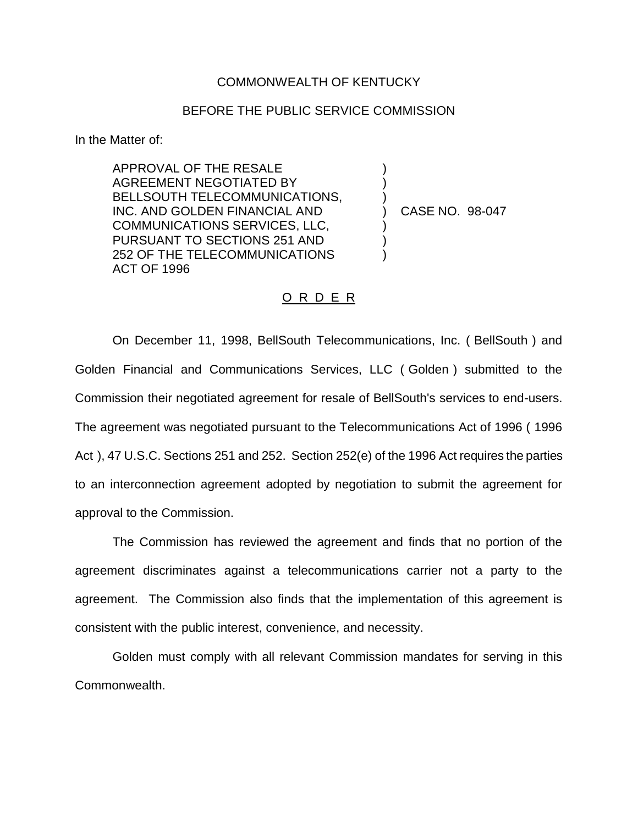## COMMONWEALTH OF KENTUCKY

## BEFORE THE PUBLIC SERVICE COMMISSION

) ) )

) ) )

In the Matter of:

APPROVAL OF THE RESALE AGREEMENT NEGOTIATED BY BELLSOUTH TELECOMMUNICATIONS, INC. AND GOLDEN FINANCIAL AND COMMUNICATIONS SERVICES, LLC, PURSUANT TO SECTIONS 251 AND 252 OF THE TELECOMMUNICATIONS ACT OF 1996

) CASE NO. 98-047

## O R D E R

On December 11, 1998, BellSouth Telecommunications, Inc. ( BellSouth ) and Golden Financial and Communications Services, LLC ( Golden ) submitted to the Commission their negotiated agreement for resale of BellSouth's services to end-users. The agreement was negotiated pursuant to the Telecommunications Act of 1996 ( 1996 Act ), 47 U.S.C. Sections 251 and 252. Section 252(e) of the 1996 Act requires the parties to an interconnection agreement adopted by negotiation to submit the agreement for approval to the Commission.

The Commission has reviewed the agreement and finds that no portion of the agreement discriminates against a telecommunications carrier not a party to the agreement. The Commission also finds that the implementation of this agreement is consistent with the public interest, convenience, and necessity.

Golden must comply with all relevant Commission mandates for serving in this Commonwealth.